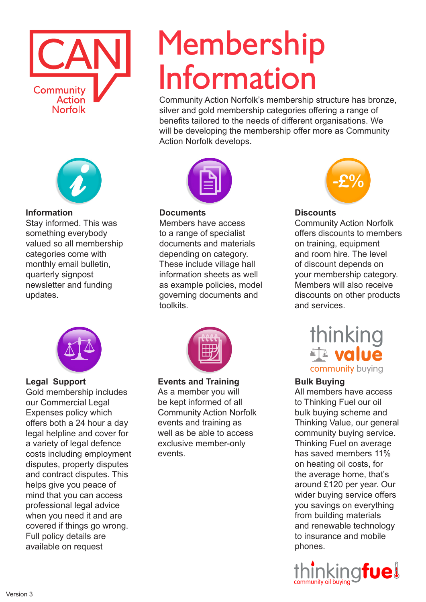



### **Information**

Stay informed. This was something everybody valued so all membership categories come with monthly email bulletin, quarterly signpost newsletter and funding updates.



Action Norfolk develops.

#### **Documents**

Members have access to a range of specialist documents and materials depending on category. These include village hall information sheets as well as example policies, model governing documents and toolkits.



#### **Legal Support**

Gold membership includes our Commercial Legal Expenses policy which offers both a 24 hour a day legal helpline and cover for a variety of legal defence costs including employment disputes, property disputes and contract disputes. This helps give you peace of mind that you can access professional legal advice when you need it and are covered if things go wrong. Full policy details are available on request



#### **Events and Training**

As a member you will be kept informed of all Community Action Norfolk events and training as well as be able to access exclusive member-only events.



# **Discounts**

Community Action Norfolk's membership structure has bronze, silver and gold membership categories offering a range of benefits tailored to the needs of different organisations. We will be developing the membership offer more as Community

Membership

Information

Community Action Norfolk offers discounts to members on training, equipment and room hire. The level of discount depends on your membership category. Members will also receive discounts on other products and services.

> thinking<br>Ta **value** community buying

## **Bulk Buying**

All members have access to Thinking Fuel our oil bulk buying scheme and Thinking Value, our general community buying service. Thinking Fuel on average has saved members 11% on heating oil costs, for the average home, that's around £120 per year. Our wider buying service offers you savings on everything from building materials and renewable technology to insurance and mobile phones.